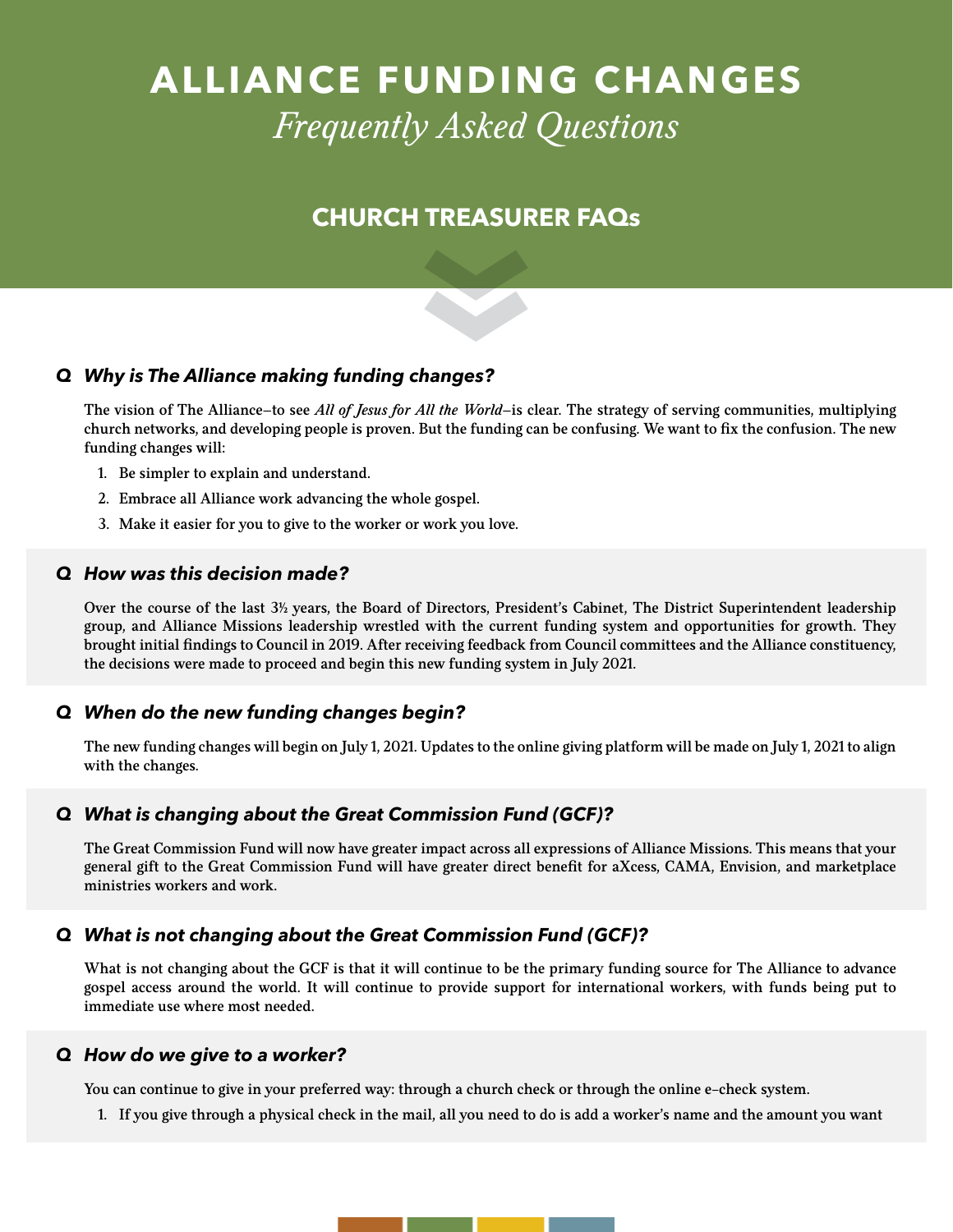# **ALLIANCE FUNDING CHANGES**  *Frequently Asked Questions*

# **CHURCH TREASURER FAQs**

### *Q Why is The Alliance making funding changes?*

The vision of The Alliance—to see *All of Jesus for All the World*—is clear. The strategy of serving communities, multiplying church networks, and developing people is proven. But the funding can be confusing. We want to fix the confusion. The new funding changes will:

- 1. Be simpler to explain and understand.
- 2. Embrace all Alliance work advancing the whole gospel.
- 3. Make it easier for you to give to the worker or work you love.

#### *Q How was this decision made?*

Over the course of the last 3<sup>1</sup>/<sub>2</sub> years, the Board of Directors, President's Cabinet, The District Superintendent leadership group, and Alliance Missions leadership wrestled with the current funding system and opportunities for growth. They brought initial findings to Council in 2019. After receiving feedback from Council committees and the Alliance constituency, the decisions were made to proceed and begin this new funding system in July 2021.

#### *Q When do the new funding changes begin?*

The new funding changes will begin on July 1, 2021. Updates to the online giving platform will be made on July 1, 2021 to align with the changes.

#### *Q What is changing about the Great Commission Fund (GCF)?*

The Great Commission Fund will now have greater impact across all expressions of Alliance Missions. This means that your general gift to the Great Commission Fund will have greater direct benefit for aXcess, CAMA, Envision, and marketplace ministries workers and work.

#### *Q What is not changing about the Great Commission Fund (GCF)?*

What is not changing about the GCF is that it will continue to be the primary funding source for The Alliance to advance gospel access around the world. It will continue to provide support for international workers, with funds being put to immediate use where most needed.

#### *Q How do we give to a worker?*

You can continue to give in your preferred way: through a church check or through the online e-check system.

1. If you give through a physical check in the mail, all you need to do is add a worker's name and the amount you want